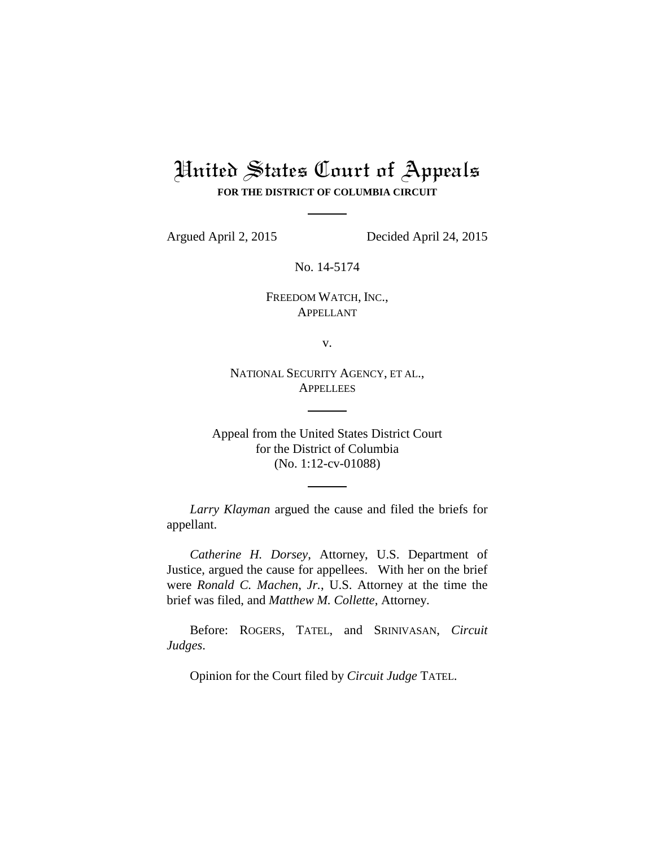## United States Court of Appeals **FOR THE DISTRICT OF COLUMBIA CIRCUIT**

Argued April 2, 2015 Decided April 24, 2015

No. 14-5174

FREEDOM WATCH, INC., APPELLANT

v.

NATIONAL SECURITY AGENCY, ET AL., **APPELLEES** 

Appeal from the United States District Court for the District of Columbia (No. 1:12-cv-01088)

*Larry Klayman* argued the cause and filed the briefs for appellant.

*Catherine H. Dorsey*, Attorney, U.S. Department of Justice, argued the cause for appellees. With her on the brief were *Ronald C. Machen*, *Jr.*, U.S. Attorney at the time the brief was filed, and *Matthew M. Collette*, Attorney.

Before: ROGERS, TATEL, and SRINIVASAN, *Circuit Judges*.

Opinion for the Court filed by *Circuit Judge* TATEL.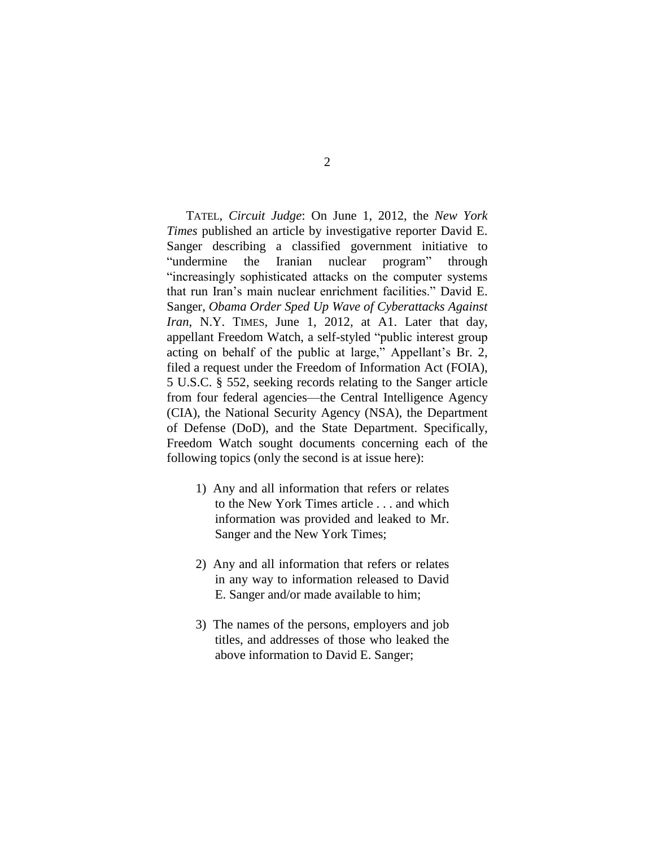TATEL, *Circuit Judge*: On June 1, 2012, the *New York Times* published an article by investigative reporter David E. Sanger describing a classified government initiative to "undermine the Iranian nuclear program" through "increasingly sophisticated attacks on the computer systems that run Iran's main nuclear enrichment facilities." David E. Sanger, *Obama Order Sped Up Wave of Cyberattacks Against Iran*, N.Y. TIMES, June 1, 2012, at A1. Later that day, appellant Freedom Watch, a self-styled "public interest group acting on behalf of the public at large," Appellant's Br. 2, filed a request under the Freedom of Information Act (FOIA), 5 U.S.C. § 552, seeking records relating to the Sanger article from four federal agencies—the Central Intelligence Agency (CIA), the National Security Agency (NSA), the Department of Defense (DoD), and the State Department. Specifically, Freedom Watch sought documents concerning each of the following topics (only the second is at issue here):

- 1) Any and all information that refers or relates to the New York Times article . . . and which information was provided and leaked to Mr. Sanger and the New York Times;
- 2) Any and all information that refers or relates in any way to information released to David E. Sanger and/or made available to him;
- 3) The names of the persons, employers and job titles, and addresses of those who leaked the above information to David E. Sanger;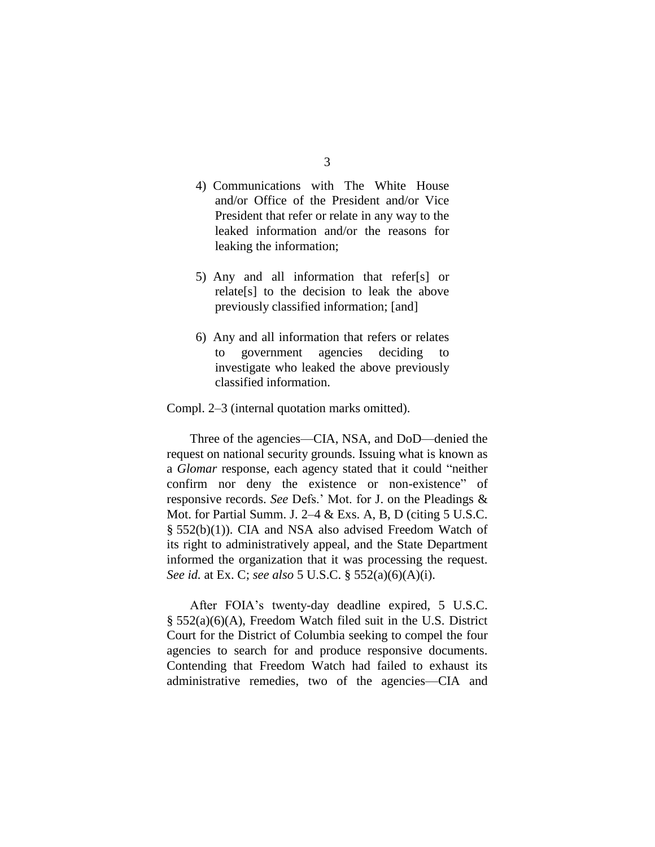- 4) Communications with The White House and/or Office of the President and/or Vice President that refer or relate in any way to the leaked information and/or the reasons for leaking the information;
- 5) Any and all information that refer[s] or relate[s] to the decision to leak the above previously classified information; [and]
- 6) Any and all information that refers or relates to government agencies deciding to investigate who leaked the above previously classified information.

Compl. 2–3 (internal quotation marks omitted).

Three of the agencies—CIA, NSA, and DoD—denied the request on national security grounds. Issuing what is known as a *Glomar* response, each agency stated that it could "neither confirm nor deny the existence or non-existence" of responsive records. *See* Defs.' Mot. for J. on the Pleadings & Mot. for Partial Summ. J. 2–4 & Exs. A, B, D (citing 5 U.S.C. § 552(b)(1)). CIA and NSA also advised Freedom Watch of its right to administratively appeal, and the State Department informed the organization that it was processing the request. *See id.* at Ex. C; *see also* 5 U.S.C. § 552(a)(6)(A)(i).

After FOIA's twenty-day deadline expired, 5 U.S.C. § 552(a)(6)(A), Freedom Watch filed suit in the U.S. District Court for the District of Columbia seeking to compel the four agencies to search for and produce responsive documents. Contending that Freedom Watch had failed to exhaust its administrative remedies, two of the agencies—CIA and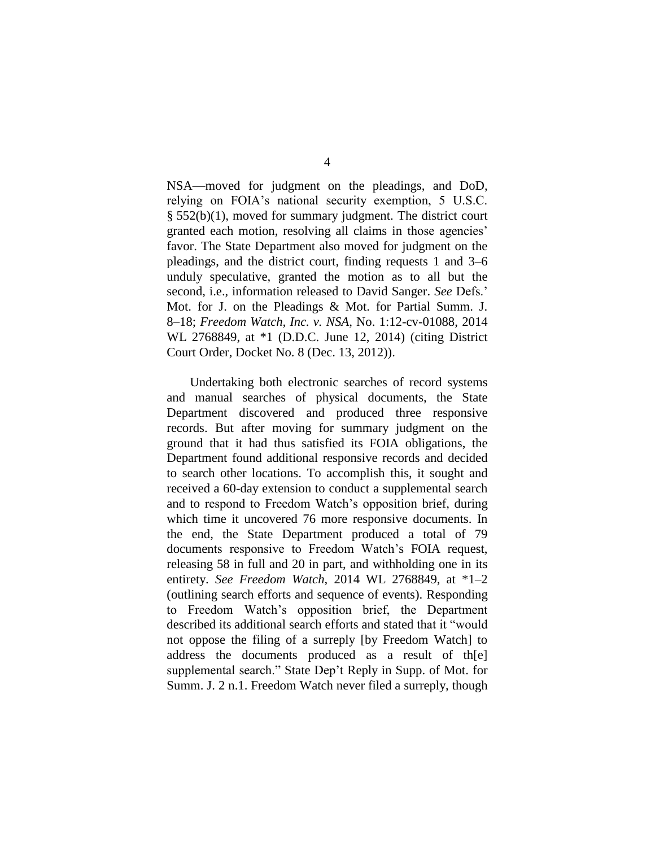NSA—moved for judgment on the pleadings, and DoD, relying on FOIA's national security exemption, 5 U.S.C. § 552(b)(1), moved for summary judgment. The district court granted each motion, resolving all claims in those agencies' favor. The State Department also moved for judgment on the pleadings, and the district court, finding requests 1 and 3–6 unduly speculative, granted the motion as to all but the second, i.e., information released to David Sanger. *See* Defs.' Mot. for J. on the Pleadings & Mot. for Partial Summ. J. 8–18; *Freedom Watch, Inc. v. NSA*, No. 1:12-cv-01088, 2014 WL 2768849, at \*1 (D.D.C. June 12, 2014) (citing District Court Order, Docket No. 8 (Dec. 13, 2012)).

Undertaking both electronic searches of record systems and manual searches of physical documents, the State Department discovered and produced three responsive records. But after moving for summary judgment on the ground that it had thus satisfied its FOIA obligations, the Department found additional responsive records and decided to search other locations. To accomplish this, it sought and received a 60-day extension to conduct a supplemental search and to respond to Freedom Watch's opposition brief, during which time it uncovered 76 more responsive documents. In the end, the State Department produced a total of 79 documents responsive to Freedom Watch's FOIA request, releasing 58 in full and 20 in part, and withholding one in its entirety. *See Freedom Watch*, 2014 WL 2768849, at \*1–2 (outlining search efforts and sequence of events). Responding to Freedom Watch's opposition brief, the Department described its additional search efforts and stated that it "would not oppose the filing of a surreply [by Freedom Watch] to address the documents produced as a result of th[e] supplemental search." State Dep't Reply in Supp. of Mot. for Summ. J. 2 n.1. Freedom Watch never filed a surreply, though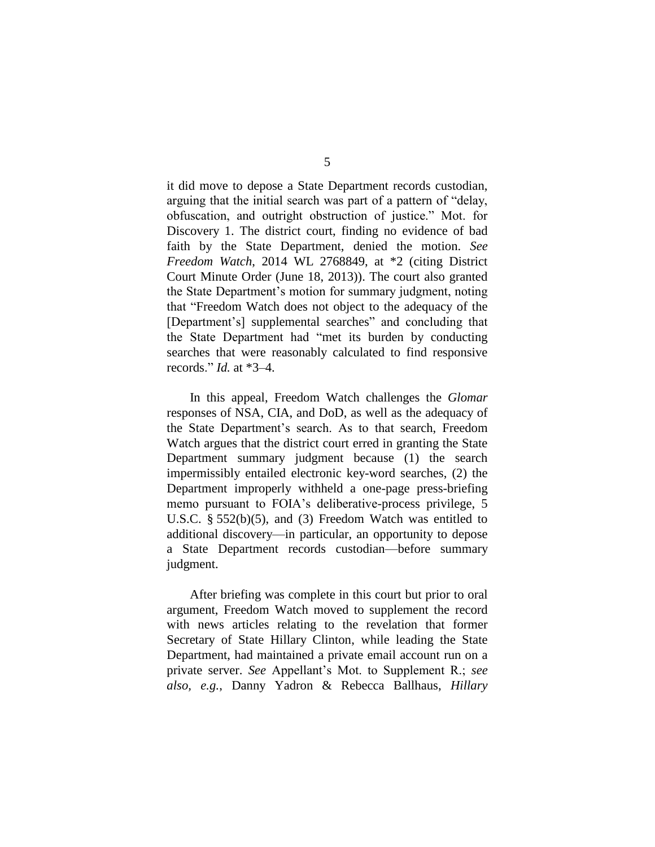it did move to depose a State Department records custodian, arguing that the initial search was part of a pattern of "delay, obfuscation, and outright obstruction of justice." Mot. for Discovery 1. The district court, finding no evidence of bad faith by the State Department, denied the motion. *See Freedom Watch*, 2014 WL 2768849, at \*2 (citing District Court Minute Order (June 18, 2013)). The court also granted the State Department's motion for summary judgment, noting that "Freedom Watch does not object to the adequacy of the [Department's] supplemental searches" and concluding that the State Department had "met its burden by conducting searches that were reasonably calculated to find responsive records." *Id.* at \*3–4.

In this appeal, Freedom Watch challenges the *Glomar* responses of NSA, CIA, and DoD, as well as the adequacy of the State Department's search. As to that search, Freedom Watch argues that the district court erred in granting the State Department summary judgment because (1) the search impermissibly entailed electronic key-word searches, (2) the Department improperly withheld a one-page press-briefing memo pursuant to FOIA's deliberative-process privilege, 5 U.S.C. § 552(b)(5), and (3) Freedom Watch was entitled to additional discovery—in particular, an opportunity to depose a State Department records custodian—before summary judgment.

After briefing was complete in this court but prior to oral argument, Freedom Watch moved to supplement the record with news articles relating to the revelation that former Secretary of State Hillary Clinton, while leading the State Department, had maintained a private email account run on a private server. *See* Appellant's Mot. to Supplement R.; *see also, e.g.*, Danny Yadron & Rebecca Ballhaus, *Hillary*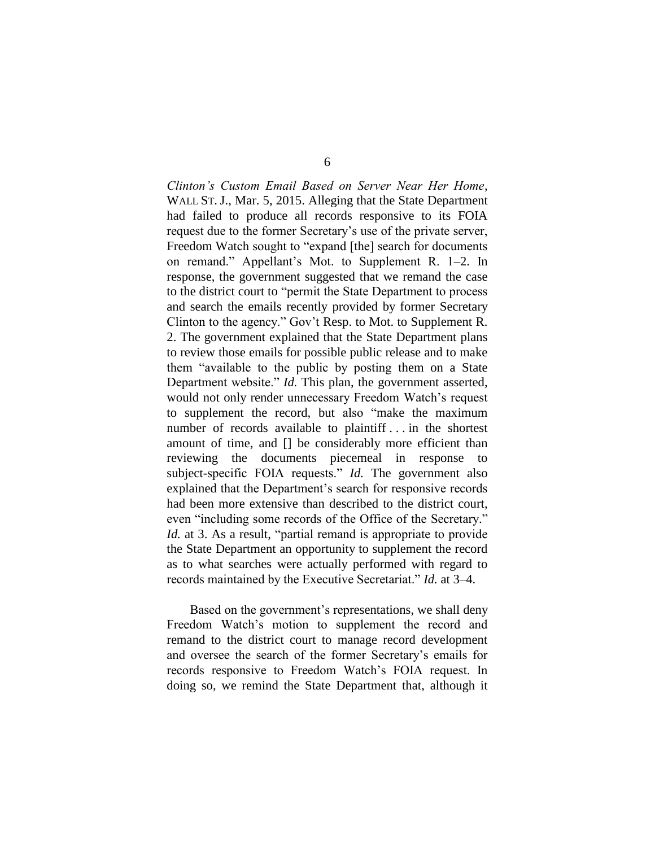*Clinton's Custom Email Based on Server Near Her Home*, WALL ST. J., Mar. 5, 2015. Alleging that the State Department had failed to produce all records responsive to its FOIA request due to the former Secretary's use of the private server, Freedom Watch sought to "expand [the] search for documents on remand." Appellant's Mot. to Supplement R. 1–2. In response, the government suggested that we remand the case to the district court to "permit the State Department to process and search the emails recently provided by former Secretary Clinton to the agency." Gov't Resp. to Mot. to Supplement R. 2. The government explained that the State Department plans to review those emails for possible public release and to make them "available to the public by posting them on a State Department website." *Id.* This plan, the government asserted, would not only render unnecessary Freedom Watch's request to supplement the record, but also "make the maximum number of records available to plaintiff . . . in the shortest amount of time, and [] be considerably more efficient than reviewing the documents piecemeal in response to subject-specific FOIA requests." *Id.* The government also explained that the Department's search for responsive records had been more extensive than described to the district court, even "including some records of the Office of the Secretary." *Id.* at 3. As a result, "partial remand is appropriate to provide the State Department an opportunity to supplement the record as to what searches were actually performed with regard to records maintained by the Executive Secretariat." *Id.* at 3–4.

Based on the government's representations, we shall deny Freedom Watch's motion to supplement the record and remand to the district court to manage record development and oversee the search of the former Secretary's emails for records responsive to Freedom Watch's FOIA request. In doing so, we remind the State Department that, although it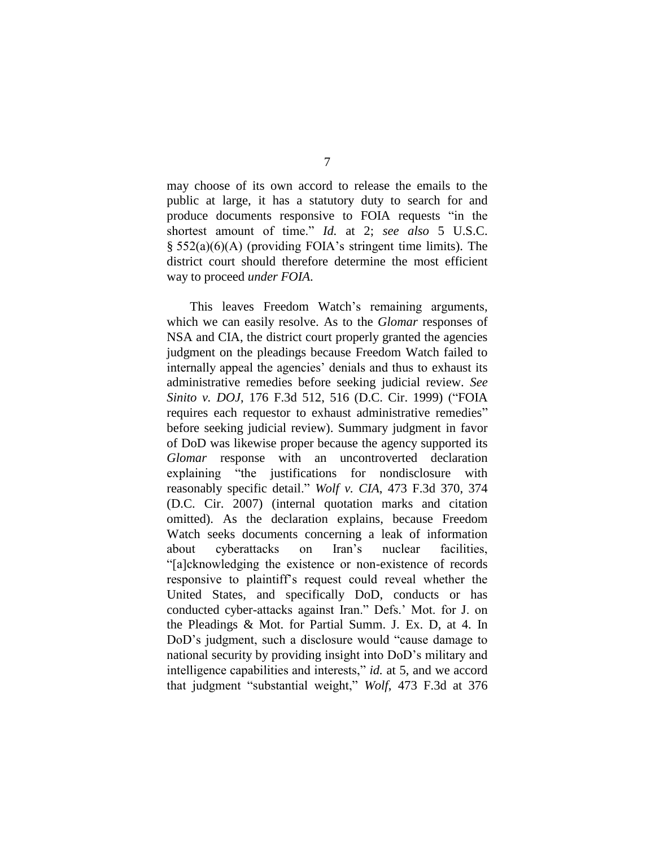may choose of its own accord to release the emails to the public at large, it has a statutory duty to search for and produce documents responsive to FOIA requests "in the shortest amount of time." *Id.* at 2; *see also* 5 U.S.C. § 552(a)(6)(A) (providing FOIA's stringent time limits). The district court should therefore determine the most efficient way to proceed *under FOIA*.

This leaves Freedom Watch's remaining arguments, which we can easily resolve. As to the *Glomar* responses of NSA and CIA, the district court properly granted the agencies judgment on the pleadings because Freedom Watch failed to internally appeal the agencies' denials and thus to exhaust its administrative remedies before seeking judicial review. *See Sinito v. DOJ*, 176 F.3d 512, 516 (D.C. Cir. 1999) ("FOIA requires each requestor to exhaust administrative remedies" before seeking judicial review). Summary judgment in favor of DoD was likewise proper because the agency supported its *Glomar* response with an uncontroverted declaration explaining "the justifications for nondisclosure with reasonably specific detail." *Wolf v. CIA*, 473 F.3d 370, 374 (D.C. Cir. 2007) (internal quotation marks and citation omitted). As the declaration explains, because Freedom Watch seeks documents concerning a leak of information about cyberattacks on Iran's nuclear facilities, "[a]cknowledging the existence or non-existence of records responsive to plaintiff's request could reveal whether the United States, and specifically DoD, conducts or has conducted cyber-attacks against Iran." Defs.' Mot. for J. on the Pleadings & Mot. for Partial Summ. J. Ex. D, at 4. In DoD's judgment, such a disclosure would "cause damage to national security by providing insight into DoD's military and intelligence capabilities and interests," *id.* at 5, and we accord that judgment "substantial weight," *Wolf*, 473 F.3d at 376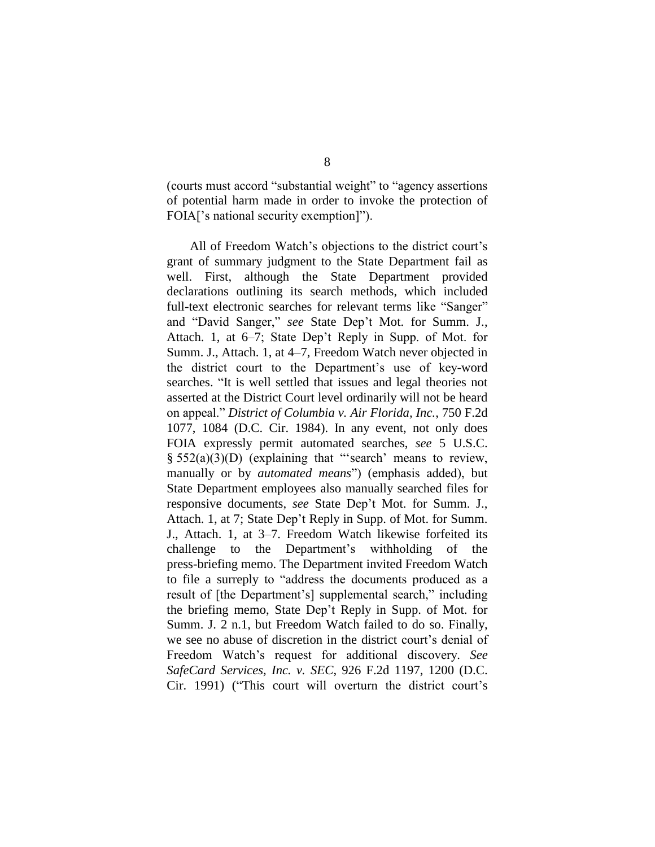(courts must accord "substantial weight" to "agency assertions of potential harm made in order to invoke the protection of FOIA['s national security exemption]").

All of Freedom Watch's objections to the district court's grant of summary judgment to the State Department fail as well. First, although the State Department provided declarations outlining its search methods, which included full-text electronic searches for relevant terms like "Sanger" and "David Sanger," *see* State Dep't Mot. for Summ. J., Attach. 1, at 6–7; State Dep't Reply in Supp. of Mot. for Summ. J., Attach. 1, at 4–7, Freedom Watch never objected in the district court to the Department's use of key-word searches. "It is well settled that issues and legal theories not asserted at the District Court level ordinarily will not be heard on appeal." *District of Columbia v. Air Florida, Inc.*, 750 F.2d 1077, 1084 (D.C. Cir. 1984). In any event, not only does FOIA expressly permit automated searches, *see* 5 U.S.C. § 552(a)(3)(D) (explaining that "'search' means to review, manually or by *automated means*") (emphasis added), but State Department employees also manually searched files for responsive documents, *see* State Dep't Mot. for Summ. J., Attach. 1, at 7; State Dep't Reply in Supp. of Mot. for Summ. J., Attach. 1, at 3–7. Freedom Watch likewise forfeited its challenge to the Department's withholding of the press-briefing memo. The Department invited Freedom Watch to file a surreply to "address the documents produced as a result of [the Department's] supplemental search," including the briefing memo, State Dep't Reply in Supp. of Mot. for Summ. J. 2 n.1, but Freedom Watch failed to do so. Finally, we see no abuse of discretion in the district court's denial of Freedom Watch's request for additional discovery. *See SafeCard Services, Inc. v. SEC*, 926 F.2d 1197, 1200 (D.C. Cir. 1991) ("This court will overturn the district court's